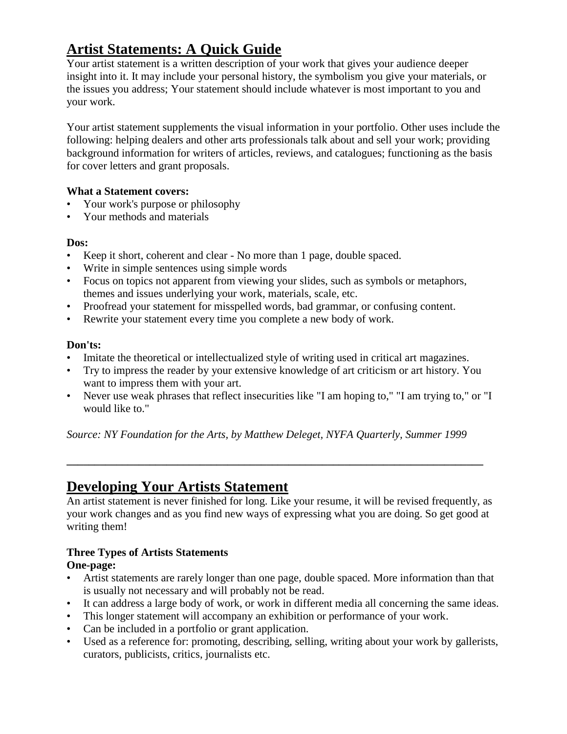# **Artist Statements: A Quick Guide**

Your artist statement is a written description of your work that gives your audience deeper insight into it. It may include your personal history, the symbolism you give your materials, or the issues you address; Your statement should include whatever is most important to you and your work.

Your artist statement supplements the visual information in your portfolio. Other uses include the following: helping dealers and other arts professionals talk about and sell your work; providing background information for writers of articles, reviews, and catalogues; functioning as the basis for cover letters and grant proposals.

#### **What a Statement covers:**

- Your work's purpose or philosophy
- Your methods and materials

#### **Dos:**

- Keep it short, coherent and clear No more than 1 page, double spaced.
- Write in simple sentences using simple words
- Focus on topics not apparent from viewing your slides, such as symbols or metaphors, themes and issues underlying your work, materials, scale, etc.
- Proofread your statement for misspelled words, bad grammar, or confusing content.
- Rewrite your statement every time you complete a new body of work.

#### **Don'ts:**

- Imitate the theoretical or intellectualized style of writing used in critical art magazines.
- Try to impress the reader by your extensive knowledge of art criticism or art history. You want to impress them with your art.
- Never use weak phrases that reflect insecurities like "I am hoping to," "I am trying to," or "I would like to."

*Source: NY Foundation for the Arts, by Matthew Deleget, NYFA Quarterly, Summer 1999*

**\_\_\_\_\_\_\_\_\_\_\_\_\_\_\_\_\_\_\_\_\_\_\_\_\_\_\_\_\_\_\_\_\_\_\_\_\_\_\_\_\_\_\_\_\_\_\_\_\_\_\_\_\_\_\_\_\_\_\_\_\_\_\_\_\_\_\_\_\_\_\_\_\_\_\_**

## **Developing Your Artists Statement**

An artist statement is never finished for long. Like your resume, it will be revised frequently, as your work changes and as you find new ways of expressing what you are doing. So get good at writing them!

### **Three Types of Artists Statements**

#### **One-page:**

- Artist statements are rarely longer than one page, double spaced. More information than that is usually not necessary and will probably not be read.
- It can address a large body of work, or work in different media all concerning the same ideas.
- This longer statement will accompany an exhibition or performance of your work.
- Can be included in a portfolio or grant application.
- Used as a reference for: promoting, describing, selling, writing about your work by gallerists, curators, publicists, critics, journalists etc.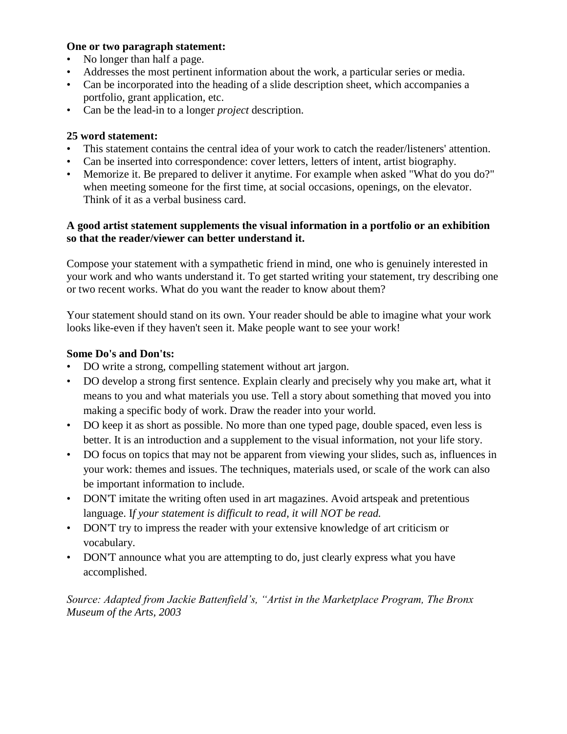#### **One or two paragraph statement:**

- No longer than half a page.
- Addresses the most pertinent information about the work, a particular series or media.
- Can be incorporated into the heading of a slide description sheet, which accompanies a portfolio, grant application, etc.
- Can be the lead-in to a longer *project* description.

#### **25 word statement:**

- This statement contains the central idea of your work to catch the reader/listeners' attention.
- Can be inserted into correspondence: cover letters, letters of intent, artist biography.
- Memorize it. Be prepared to deliver it anytime. For example when asked "What do you do?" when meeting someone for the first time, at social occasions, openings, on the elevator. Think of it as a verbal business card.

#### **A good artist statement supplements the visual information in a portfolio or an exhibition so that the reader/viewer can better understand it.**

Compose your statement with a sympathetic friend in mind, one who is genuinely interested in your work and who wants understand it. To get started writing your statement, try describing one or two recent works. What do you want the reader to know about them?

Your statement should stand on its own. Your reader should be able to imagine what your work looks like-even if they haven't seen it. Make people want to see your work!

#### **Some Do's and Don'ts:**

- DO write a strong, compelling statement without art jargon.
- DO develop a strong first sentence. Explain clearly and precisely why you make art, what it means to you and what materials you use. Tell a story about something that moved you into making a specific body of work. Draw the reader into your world.
- DO keep it as short as possible. No more than one typed page, double spaced, even less is better. It is an introduction and a supplement to the visual information, not your life story.
- DO focus on topics that may not be apparent from viewing your slides, such as, influences in your work: themes and issues. The techniques, materials used, or scale of the work can also be important information to include.
- DON'T imitate the writing often used in art magazines. Avoid artspeak and pretentious language. I*f your statement is difficult to read, it will NOT be read.*
- DON'T try to impress the reader with your extensive knowledge of art criticism or vocabulary.
- DON'T announce what you are attempting to do, just clearly express what you have accomplished.

*Source: Adapted from Jackie Battenfield's, "Artist in the Marketplace Program, The Bronx Museum of the Arts, 2003*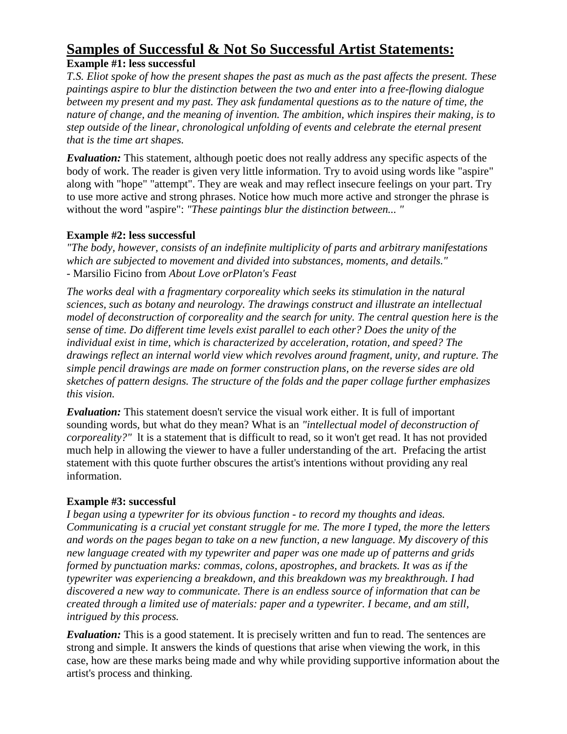# **Samples of Successful & Not So Successful Artist Statements:**

#### **Example #1: less successful**

*T.S. Eliot spoke of how the present shapes the past as much as the past affects the present. These paintings aspire to blur the distinction between the two and enter into a free-flowing dialogue between my present and my past. They ask fundamental questions as to the nature of time, the nature of change, and the meaning of invention. The ambition, which inspires their making, is to step outside of the linear, chronological unfolding of events and celebrate the eternal present that is the time art shapes.*

*Evaluation:* This statement, although poetic does not really address any specific aspects of the body of work. The reader is given very little information. Try to avoid using words like "aspire" along with "hope" "attempt". They are weak and may reflect insecure feelings on your part. Try to use more active and strong phrases. Notice how much more active and stronger the phrase is without the word "aspire": *"These paintings blur the distinction between... "*

#### **Example #2: less successful**

*"The body, however, consists of an indefinite multiplicity of parts and arbitrary manifestations which are subjected to movement and divided into substances, moments, and details."* - Marsilio Ficino from *About Love orPlaton's Feast*

*The works deal with a fragmentary corporeality which seeks its stimulation in the natural sciences, such as botany and neurology. The drawings construct and illustrate an intellectual model of deconstruction of corporeality and the search for unity. The central question here is the sense of time. Do different time levels exist parallel to each other? Does the unity of the individual exist in time, which is characterized by acceleration, rotation, and speed? The drawings reflect an internal world view which revolves around fragment, unity, and rupture. The simple pencil drawings are made on former construction plans, on the reverse sides are old sketches of pattern designs. The structure of the folds and the paper collage further emphasizes this vision.*

*Evaluation:* This statement doesn't service the visual work either. It is full of important sounding words, but what do they mean? What is an *"intellectual model of deconstruction of corporeality?"* lt is a statement that is difficult to read, so it won't get read. It has not provided much help in allowing the viewer to have a fuller understanding of the art. Prefacing the artist statement with this quote further obscures the artist's intentions without providing any real information.

#### **Example #3: successful**

*I began using a typewriter for its obvious function* - *to record my thoughts and ideas. Communicating is a crucial yet constant struggle for me. The more I typed, the more the letters and words on the pages began to take on a new function, a new language. My discovery of this new language created with my typewriter and paper was one made up of patterns and grids formed by punctuation marks: commas, colons, apostrophes, and brackets. It was as if the typewriter was experiencing a breakdown, and this breakdown was my breakthrough. I had discovered a new way to communicate. There is an endless source of information that can be created through a limited use of materials: paper and a typewriter. I became, and am still, intrigued by this process.*

*Evaluation:* This is a good statement. It is precisely written and fun to read. The sentences are strong and simple. It answers the kinds of questions that arise when viewing the work, in this case, how are these marks being made and why while providing supportive information about the artist's process and thinking.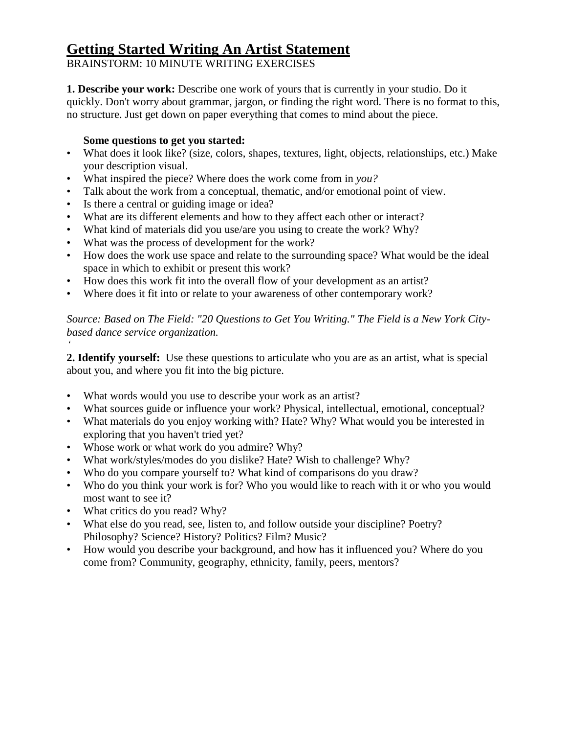## **Getting Started Writing An Artist Statement**

BRAINSTORM: 10 MINUTE WRITING EXERCISES

**1. Describe your work:** Describe one work of yours that is currently in your studio. Do it quickly. Don't worry about grammar, jargon, or finding the right word. There is no format to this, no structure. Just get down on paper everything that comes to mind about the piece.

#### **Some questions to get you started:**

- What does it look like? (size, colors, shapes, textures, light, objects, relationships, etc.) Make your description visual.
- What inspired the piece? Where does the work come from in *you?*
- Talk about the work from a conceptual, thematic, and/or emotional point of view.
- Is there a central or guiding image or idea?
- What are its different elements and how to they affect each other or interact?
- What kind of materials did you use/are you using to create the work? Why?
- What was the process of development for the work?
- How does the work use space and relate to the surrounding space? What would be the ideal space in which to exhibit or present this work?
- How does this work fit into the overall flow of your development as an artist?
- Where does it fit into or relate to your awareness of other contemporary work?

*Source: Based on The Field: "20 Questions to Get You Writing." The Field is a New York Citybased dance service organization.*

**2. Identify yourself:** Use these questions to articulate who you are as an artist, what is special about you, and where you fit into the big picture.

- What words would you use to describe your work as an artist?
- What sources guide or influence your work? Physical, intellectual, emotional, conceptual?
- What materials do you enjoy working with? Hate? Why? What would you be interested in exploring that you haven't tried yet?
- Whose work or what work do you admire? Why?
- What work/styles/modes do you dislike? Hate? Wish to challenge? Why?
- Who do you compare yourself to? What kind of comparisons do you draw?
- Who do you think your work is for? Who you would like to reach with it or who you would most want to see it?
- What critics do you read? Why?

*'*

- What else do you read, see, listen to, and follow outside your discipline? Poetry? Philosophy? Science? History? Politics? Film? Music?
- How would you describe your background, and how has it influenced you? Where do you come from? Community, geography, ethnicity, family, peers, mentors?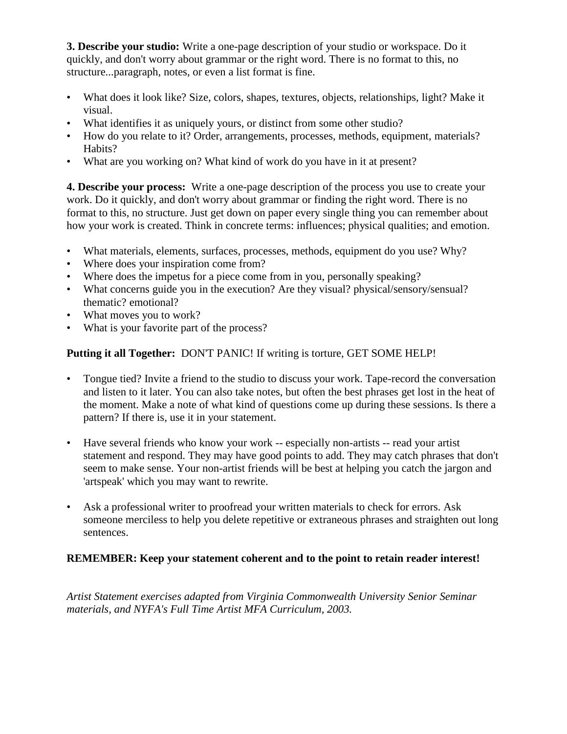**3. Describe your studio:** Write a one-page description of your studio or workspace. Do it quickly, and don't worry about grammar or the right word. There is no format to this, no structure...paragraph, notes, or even a list format is fine.

- What does it look like? Size, colors, shapes, textures, objects, relationships, light? Make it visual.
- What identifies it as uniquely yours, or distinct from some other studio?
- How do you relate to it? Order, arrangements, processes, methods, equipment, materials? Habits?
- What are you working on? What kind of work do you have in it at present?

**4. Describe your process:** Write a one-page description of the process you use to create your work. Do it quickly, and don't worry about grammar or finding the right word. There is no format to this, no structure. Just get down on paper every single thing you can remember about how your work is created. Think in concrete terms: influences; physical qualities; and emotion.

- What materials, elements, surfaces, processes, methods, equipment do you use? Why?
- Where does your inspiration come from?
- Where does the impetus for a piece come from in you, personally speaking?
- What concerns guide you in the execution? Are they visual? physical/sensory/sensual? thematic? emotional?
- What moves you to work?
- What is your favorite part of the process?

#### **Putting it all Together:** DON'T PANIC! If writing is torture, GET SOME HELP!

- Tongue tied? Invite a friend to the studio to discuss your work. Tape-record the conversation and listen to it later. You can also take notes, but often the best phrases get lost in the heat of the moment. Make a note of what kind of questions come up during these sessions. Is there a pattern? If there is, use it in your statement.
- Have several friends who know your work -- especially non-artists -- read your artist statement and respond. They may have good points to add. They may catch phrases that don't seem to make sense. Your non-artist friends will be best at helping you catch the jargon and 'artspeak' which you may want to rewrite.
- Ask a professional writer to proofread your written materials to check for errors. Ask someone merciless to help you delete repetitive or extraneous phrases and straighten out long sentences.

#### **REMEMBER: Keep your statement coherent and to the point to retain reader interest!**

*Artist Statement exercises adapted from Virginia Commonwealth University Senior Seminar materials, and NYFA's Full Time Artist MFA Curriculum, 2003.*